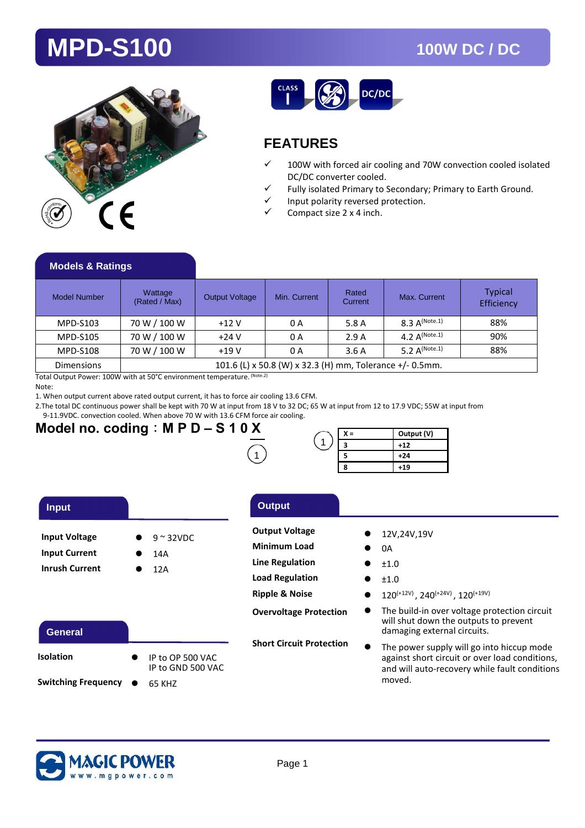## **MPD-S100 100W DC / DC**





### **FEATURES**

- $\checkmark$  100W with forced air cooling and 70W convection cooled isolated DC/DC converter cooled.
- Fully isolated Primary to Secondary; Primary to Earth Ground.
- Input polarity reversed protection.
- Compact size 2 x 4 inch.

### **Models & Ratings**

| Model Number      | Wattage<br>(Rated / Max)                                 | <b>Output Voltage</b> | Min. Current | Rated<br>Current | Max. Current       | <b>Typical</b><br>Efficiency |
|-------------------|----------------------------------------------------------|-----------------------|--------------|------------------|--------------------|------------------------------|
| MPD-S103          | 70 W / 100 W                                             | $+12V$                | 0 A          | 5.8 A            | 8.3 $A^{(Note.1)}$ | 88%                          |
| <b>MPD-S105</b>   | 70 W / 100 W                                             | $+24V$                | 0 A          | 2.9A             | $4.2 A^{(Note.1)}$ | 90%                          |
| <b>MPD-S108</b>   | 70 W / 100 W                                             | $+19V$                | 0 A          | 3.6A             | $5.2 A^{(Note.1)}$ | 88%                          |
| <b>Dimensions</b> | 101.6 (L) x 50.8 (W) x 32.3 (H) mm, Tolerance +/- 0.5mm. |                       |              |                  |                    |                              |

Total Output Power: 100W with at 50°C environment temperature. (Note.2)

Note:

ſ

1. When output current above rated output current, it has to force air cooling 13.6 CFM.

2.The total DC continuous power shall be kept with 70 W at input from 18 V to 32 DC; 65 W at input from 12 to 17.9 VDC; 55W at input from

9-11.9VDC. convection cooled. When above 70 W with 13.6 CFM force air cooling.

## Model no. coding : M P D – S 1 0  $\times$

| K = | Output (V) |
|-----|------------|
|     | $+12$      |
|     | $+24$      |
| R   | $+19$      |

| <b>Input</b>          |   |                    |
|-----------------------|---|--------------------|
| <b>Input Voltage</b>  |   | $9 \approx 32$ VDC |
| <b>Input Current</b>  | с | 14A                |
| <b>Inrush Current</b> |   | 12A                |

### **General**

| <b>Isolation</b>      | IP to OP 500 VAC<br>IP to GND 500 VAC |
|-----------------------|---------------------------------------|
| Switching Frequency ● | 65 KHZ                                |

### **Input Output**

- **Output Voltage**
- **Minimum Load**
- **Line Regulation**
- **Load Regulation**
- **Ripple & Noise**

**Overvoltage Protection** 

**Short Circuit Protection** 

- $\bullet$ 12V,24V,19V
- $\bullet$ 0A
- $\bullet$ ±1.0
- $\bullet$  $+1.0$
- $\bullet$  $120^{(+12V)}$ ,  $240^{(+24V)}$ ,  $120^{(+19V)}$
- $\bullet$  The build-in over voltage protection circuit will shut down the outputs to prevent damaging external circuits.
- $\bullet$  The power supply will go into hiccup mode against short circuit or over load conditions, and will auto-recovery while fault conditions moved.

Ï

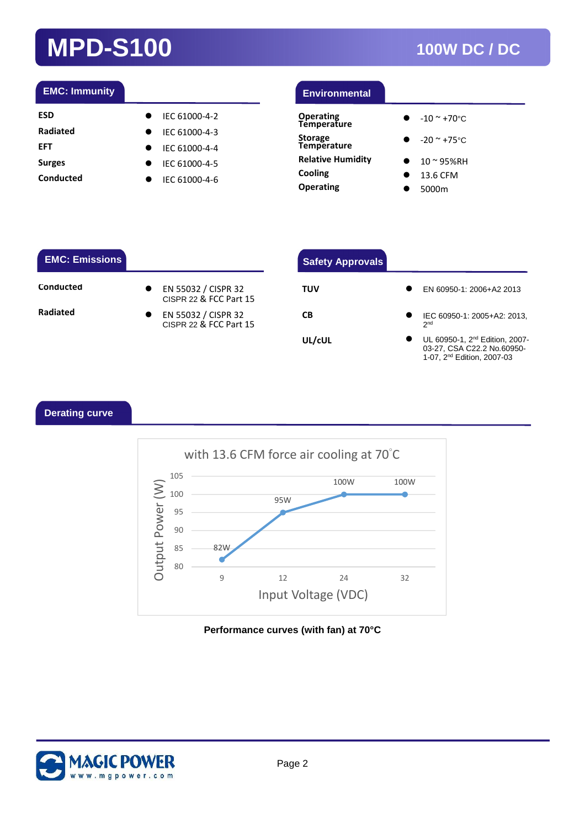# **MPD-S100 100W DC / DC**

### **EMC: Immunity**

| ESD       | $\bullet$ | IEC 61000-4-2           |
|-----------|-----------|-------------------------|
| Radiated  |           | $\bullet$ IEC 61000-4-3 |
| EFT       |           | $\bullet$ IEC 61000-4-4 |
| Surges    |           | $\bullet$ IEC 61000-4-5 |
| Conducted | $\bullet$ | IEC 61000-4-6           |
|           |           |                         |

| <b>Environmental</b>            |  |
|---------------------------------|--|
| <b>Operating</b><br>Temperature |  |
| Storage<br>Temperature          |  |

**Relative Humidity Cooling** 

**Operating** 

 $\bullet$ -20 ~ +75°C

 $-10 - 70$ °C

 $\bullet$ 

- $\bullet$ 10 ~ 95%RH
- $\bullet$ 13.6 CFM
- $\bullet$ 5000m

### **EMC: Emissions**

### **Conducted**

**Radiated** 

| EN 55032 / CISPR 32<br>CISPR 22 & FCC Part 15 |  |
|-----------------------------------------------|--|
| EN 55032 / CISPR 32<br>CISPR 22 & FCC Part 15 |  |

| <b>Safety Approvals</b> |                                                                                                                    |
|-------------------------|--------------------------------------------------------------------------------------------------------------------|
| TUV                     | EN 60950-1: 2006+A2 2013                                                                                           |
| СB                      | IEC 60950-1: 2005+A2: 2013,<br>2 <sub>nd</sub>                                                                     |
| UL/cUL                  | UL 60950-1, 2 <sup>nd</sup> Edition, 2007-<br>03-27, CSA C22.2 No.60950-<br>1-07. 2 <sup>nd</sup> Edition. 2007-03 |

Ï

### **Derating curve**



### **Performance curves (with fan) at 70°C**